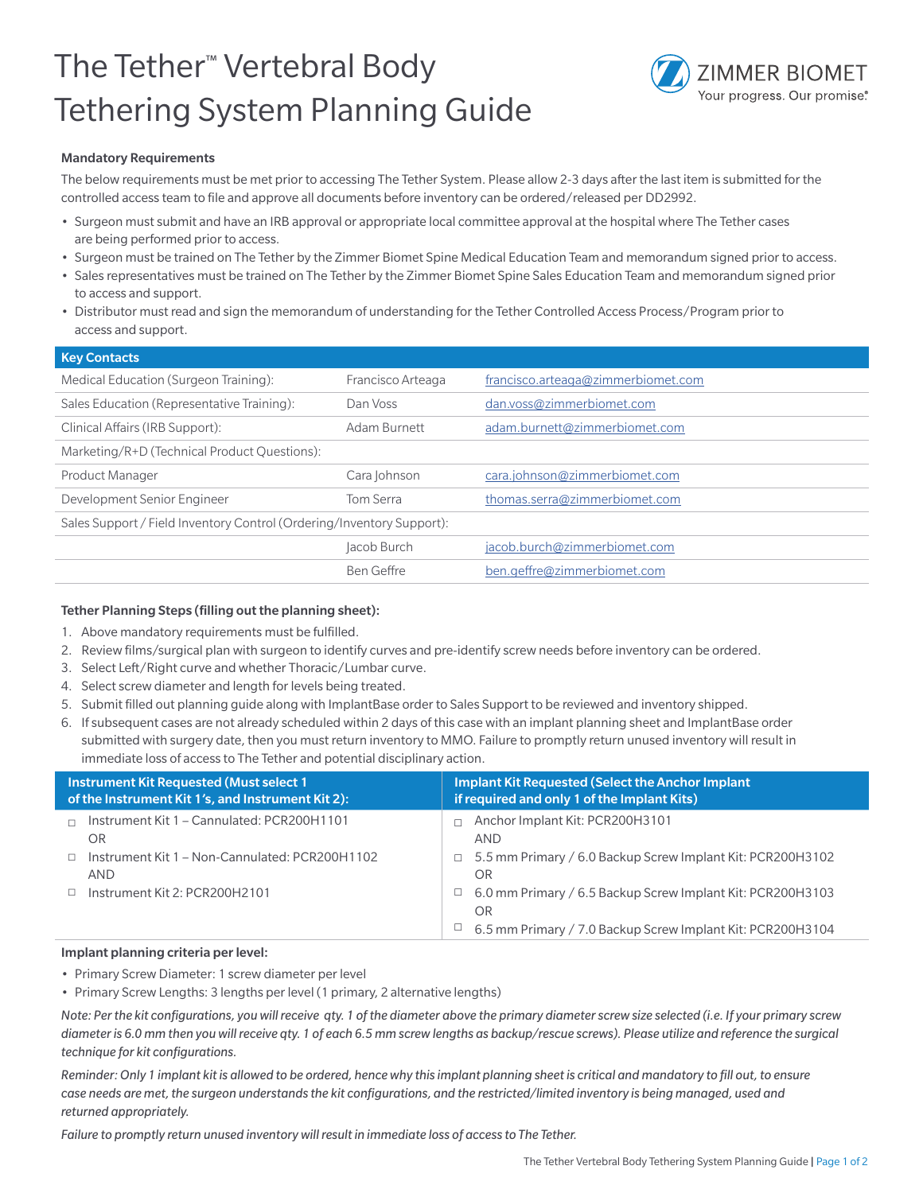## The Tether™ Vertebral Body Tethering System Planning Guide



## Mandatory Requirements

The below requirements must be met prior to accessing The Tether System. Please allow 2-3 days after the last item is submitted for the controlled access team to file and approve all documents before inventory can be ordered/released per DD2992.

- Surgeon must submit and have an IRB approval or appropriate local committee approval at the hospital where The Tether cases are being performed prior to access.
- Surgeon must be trained on The Tether by the Zimmer Biomet Spine Medical Education Team and memorandum signed prior to access.
- Sales representatives must be trained on The Tether by the Zimmer Biomet Spine Sales Education Team and memorandum signed prior to access and support.
- Distributor must read and sign the memorandum of understanding for the Tether Controlled Access Process/Program prior to access and support.

| <b>Key Contacts</b>                                                   |                   |                                    |  |  |  |  |  |  |
|-----------------------------------------------------------------------|-------------------|------------------------------------|--|--|--|--|--|--|
| Medical Education (Surgeon Training):                                 | Francisco Arteaga | francisco.arteaga@zimmerbiomet.com |  |  |  |  |  |  |
| Sales Education (Representative Training):                            | Dan Voss          | dan.voss@zimmerbiomet.com          |  |  |  |  |  |  |
| Clinical Affairs (IRB Support):                                       | Adam Burnett      | adam.burnett@zimmerbiomet.com      |  |  |  |  |  |  |
| Marketing/R+D (Technical Product Questions):                          |                   |                                    |  |  |  |  |  |  |
| <b>Product Manager</b>                                                | Cara Johnson      | cara.johnson@zimmerbiomet.com      |  |  |  |  |  |  |
| Development Senior Engineer                                           | Tom Serra         | thomas.serra@zimmerbiomet.com      |  |  |  |  |  |  |
| Sales Support / Field Inventory Control (Ordering/Inventory Support): |                   |                                    |  |  |  |  |  |  |
|                                                                       | Jacob Burch       | jacob.burch@zimmerbiomet.com       |  |  |  |  |  |  |
|                                                                       | <b>Ben Geffre</b> | ben.geffre@zimmerbiomet.com        |  |  |  |  |  |  |
|                                                                       |                   |                                    |  |  |  |  |  |  |

## Tether Planning Steps (filling out the planning sheet):

- 1. Above mandatory requirements must be fulfilled.
- 2. Review films/surgical plan with surgeon to identify curves and pre-identify screw needs before inventory can be ordered.
- 3. Select Left/Right curve and whether Thoracic/Lumbar curve.
- 4. Select screw diameter and length for levels being treated.
- 5. Submit filled out planning guide along with ImplantBase order to Sales Support to be reviewed and inventory shipped.
- 6. If subsequent cases are not already scheduled within 2 days of this case with an implant planning sheet and ImplantBase order submitted with surgery date, then you must return inventory to MMO. Failure to promptly return unused inventory will result in immediate loss of access to The Tether and potential disciplinary action.

| <b>Instrument Kit Requested (Must select 1)</b><br>of the Instrument Kit 1's, and Instrument Kit 2): |                                                                     | <b>Implant Kit Requested (Select the Anchor Implant)</b><br>if required and only 1 of the Implant Kits) |                                                                         |  |  |
|------------------------------------------------------------------------------------------------------|---------------------------------------------------------------------|---------------------------------------------------------------------------------------------------------|-------------------------------------------------------------------------|--|--|
|                                                                                                      | Instrument Kit 1 - Cannulated: PCR200H1101<br>OR.                   |                                                                                                         | Anchor Implant Kit: PCR200H3101<br><b>AND</b>                           |  |  |
|                                                                                                      | $\Box$ Instrument Kit 1 – Non-Cannulated: PCR200H1102<br><b>AND</b> |                                                                                                         | $\Box$ 5.5 mm Primary / 6.0 Backup Screw Implant Kit: PCR200H3102<br>OR |  |  |
|                                                                                                      | Instrument Kit 2: PCR200H2101                                       | $\Box$                                                                                                  | 6.0 mm Primary / 6.5 Backup Screw Implant Kit: PCR200H3103<br>OR        |  |  |
|                                                                                                      |                                                                     | ш                                                                                                       | 6.5 mm Primary / 7.0 Backup Screw Implant Kit: PCR200H3104              |  |  |

## Implant planning criteria per level:

- Primary Screw Diameter: 1 screw diameter per level
- Primary Screw Lengths: 3 lengths per level (1 primary, 2 alternative lengths)

*Note: Per the kit configurations, you will receive qty. 1 of the diameter above the primary diameter screw size selected (i.e. If your primary screw diameter is 6.0 mm then you will receive qty. 1 of each 6.5 mm screw lengths as backup/rescue screws). Please utilize and reference the surgical technique for kit configurations.*

*Reminder: Only 1 implant kit is allowed to be ordered, hence why this implant planning sheet is critical and mandatory to fill out, to ensure case needs are met, the surgeon understands the kit configurations, and the restricted/limited inventory is being managed, used and returned appropriately.*

*Failure to promptly return unused inventory will result in immediate loss of access to The Tether.*